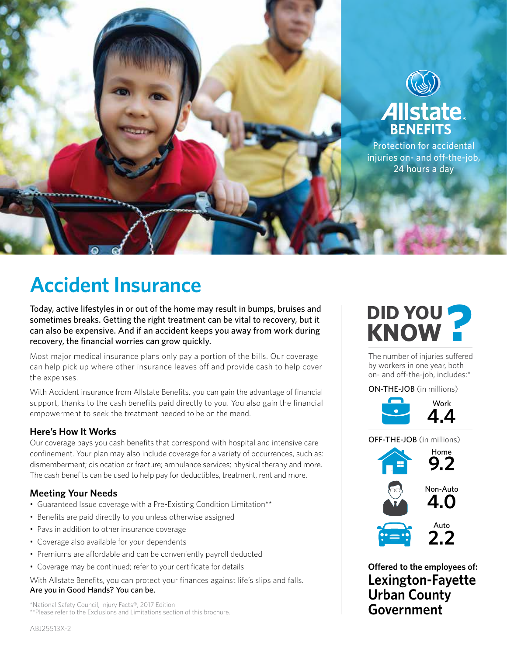

# **Accident Insurance**

Today, active lifestyles in or out of the home may result in bumps, bruises and sometimes breaks. Getting the right treatment can be vital to recovery, but it can also be expensive. And if an accident keeps you away from work during recovery, the financial worries can grow quickly.

Most major medical insurance plans only pay a portion of the bills. Our coverage can help pick up where other insurance leaves off and provide cash to help cover the expenses.

With Accident insurance from Allstate Benefits, you can gain the advantage of financial support, thanks to the cash benefits paid directly to you. You also gain the financial empowerment to seek the treatment needed to be on the mend.

## **Here's How It Works**

Our coverage pays you cash benefits that correspond with hospital and intensive care confinement. Your plan may also include coverage for a variety of occurrences, such as: dismemberment; dislocation or fracture; ambulance services; physical therapy and more. The cash benefits can be used to help pay for deductibles, treatment, rent and more.

## **Meeting Your Needs**

- Guaranteed Issue coverage with a Pre-Existing Condition Limitation\*\*
- Benefits are paid directly to you unless otherwise assigned
- Pays in addition to other insurance coverage
- Coverage also available for your dependents
- Premiums are affordable and can be conveniently payroll deducted
- Coverage may be continued; refer to your certificate for details

With Allstate Benefits, you can protect your finances against life's slips and falls. Are you in Good Hands? You can be.

\*National Safety Council, Injury Facts®, 2017 Edition \*\*Please refer to the Exclusions and Limitations section of this brochure.



The number of injuries suffered by workers in one year, both on- and off-the-job, includes:\*

## ON-THE-JOB (in millions)



OFF-THE-JOB (in millions) Auto **2.2** Home **9.2** Non-Auto **4.0**

**Offered to the employees of: Lexington-Fayette Urban County Government**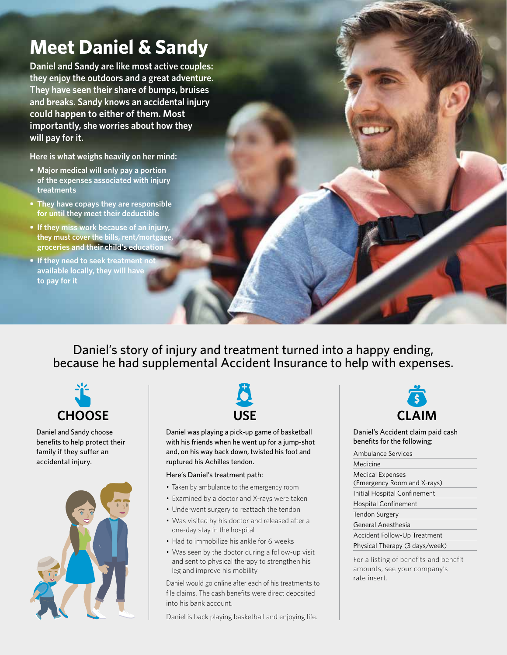## **Meet Daniel & Sandy**

**Daniel and Sandy are like most active couples: they enjoy the outdoors and a great adventure. They have seen their share of bumps, bruises and breaks. Sandy knows an accidental injury could happen to either of them. Most importantly, she worries about how they will pay for it.**

**Here is what weighs heavily on her mind:**

- **Major medical will only pay a portion of the expenses associated with injury treatments**
- **• They have copays they are responsible for until they meet their deductible**
- **• If they miss work because of an injury, they must cover the bills, rent/mortgage, groceries and their child's education**
- **•** If they need to seek treatment not **available locally, they will have to pay for it**

Daniel's story of injury and treatment turned into a happy ending, because he had supplemental Accident Insurance to help with expenses.



Daniel and Sandy choose benefits to help protect their family if they suffer an accidental injury.





Daniel was playing a pick-up game of basketball with his friends when he went up for a jump-shot and, on his way back down, twisted his foot and ruptured his Achilles tendon.

#### Here's Daniel's treatment path:

- Taken by ambulance to the emergency room
- Examined by a doctor and X-rays were taken
- Underwent surgery to reattach the tendon
- Was visited by his doctor and released after a one-day stay in the hospital
- Had to immobilize his ankle for 6 weeks
- Was seen by the doctor during a follow-up visit and sent to physical therapy to strengthen his leg and improve his mobility

Daniel would go online after each of his treatments to file claims. The cash benefits were direct deposited into his bank account.

Daniel is back playing basketball and enjoying life.



Daniel's Accident claim paid cash benefits for the following:

Ambulance Services Medicine Medical Expenses (Emergency Room and X-rays) Initial Hospital Confinement Hospital Confinement Tendon Surgery General Anesthesia Accident Follow-Up Treatment Physical Therapy (3 days/week)

For a listing of benefits and benefit amounts, see your company's rate insert.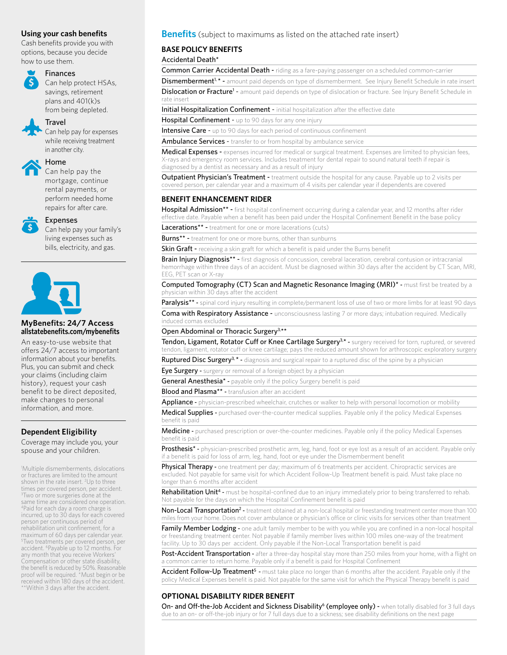#### **Using your cash benefits**

Cash benefits provide you with options, because you decide how to use them.

## Finances

Can help protect HSAs, savings, retirement plans and 401(k)s from being depleted.

#### Travel

Can help pay for expenses while receiving treatment in another city.



## Home

Can help pay the mortgage, continue rental payments, or perform needed home repairs for after care.



#### Expenses

Can help pay your family's living expenses such as bills, electricity, and gas.



#### **MyBenefits: 24/7 Access allstatebenefits.com/mybenefits**

An easy-to-use website that offers 24/7 access to important information about your benefits. Plus, you can submit and check your claims (including claim history), request your cash benefit to be direct deposited, make changes to personal information, and more.

## **Dependent Eligibility**

Coverage may include you, your spouse and your children.

1 Multiple dismemberments, dislocations or fractures are limited to the amount shown in the rate insert. <sup>2</sup>Up to three times per covered person, per accident. 3 Two or more surgeries done at the same time are considered one operation. 4Paid for each day a room charge is incurred, up to 30 days for each covered person per continuous period of rehabilitation unit confinement, for a maximum of 60 days per calendar year. 5 Two treatments per covered person, per accident. 6Payable up to 12 months. For any month that you receive Workers' Compensation or other state disability, the benefit is reduced by 50%. Reasonable proof will be required. \*Must begin or be received within 180 days of the accident. \*\*Within 3 days after the accident.

#### **Benefits** (subject to maximums as listed on the attached rate insert)

## **BASE POLICY BENEFITS**

Accidental Death\*

Common Carrier Accidental Death - riding as a fare-paying passenger on a scheduled common-carrier

Dismemberment<sup>1, \*</sup> - amount paid depends on type of dismemberment. See Injury Benefit Schedule in rate insert

Dislocation or Fracture<sup>1</sup> - amount paid depends on type of dislocation or fracture. See Injury Benefit Schedule in rate insert

Initial Hospitalization Confinement - initial hospitalization after the effective date

Hospital Confinement - up to 90 days for any one injury

Intensive Care - up to 90 days for each period of continuous confinement

Ambulance Services - transfer to or from hospital by ambulance service

Medical Expenses - expenses incurred for medical or surgical treatment. Expenses are limited to physician fees, X-rays and emergency room services. Includes treatment for dental repair to sound natural teeth if repair is diagnosed by a dentist as necessary and as a result of injury

Outpatient Physician's Treatment - treatment outside the hospital for any cause. Payable up to 2 visits per covered person, per calendar year and a maximum of 4 visits per calendar year if dependents are covered

#### **BENEFIT ENHANCEMENT RIDER**

Hospital Admission<sup>\*\*</sup> - first hospital confinement occurring during a calendar year, and 12 months after rider effective date. Payable when a benefit has been paid under the Hospital Confinement Benefit in the base policy

Lacerations<sup>\*\*</sup> - treatment for one or more lacerations (cuts)

**Burns\*\*** - treatment for one or more burns, other than sunburns

**Skin Graft** - receiving a skin graft for which a benefit is paid under the Burns benefit

Brain Injury Diagnosis\*\* - first diagnosis of concussion, cerebral laceration, cerebral contusion or intracranial hemorrhage within three days of an accident. Must be diagnosed within 30 days after the accident by CT Scan, MRI, EEG, PET scan or X-ray

Computed Tomography (CT) Scan and Magnetic Resonance Imaging (MRI)<sup>\*</sup> - must first be treated by a physician within 30 days after the accident

Paralysis<sup>\*\*</sup> - spinal cord injury resulting in complete/permanent loss of use of two or more limbs for at least 90 days

Coma with Respiratory Assistance - unconsciousness lasting 7 or more days; intubation required. Medically induced comas excluded

Open Abdominal or Thoracic Surgery<sup>3,\*\*</sup>

Tendon, Ligament, Rotator Cuff or Knee Cartilage Surgery<sup>3,\*</sup> - surgery received for torn, ruptured, or severed tendon, ligament, rotator cuff or knee cartilage; pays the reduced amount shown for arthroscopic exploratory surgery

Ruptured Disc Surgery<sup>3, \*</sup> - diagnosis and surgical repair to a ruptured disc of the spine by a physician

Eye Surgery - surgery or removal of a foreign object by a physician

General Anesthesia<sup>\*</sup> - payable only if the policy Surgery benefit is paid

**Blood and Plasma\*\*** - transfusion after an accident

Appliance - physician-prescribed wheelchair, crutches or walker to help with personal locomotion or mobility

Medical Supplies - purchased over-the-counter medical supplies. Payable only if the policy Medical Expenses benefit is paid

Medicine - purchased prescription or over-the-counter medicines. Payable only if the policy Medical Expenses benefit is paid

Prosthesis<sup>\*</sup> - physician-prescribed prosthetic arm, leg, hand, foot or eye lost as a result of an accident. Payable only if a benefit is paid for loss of arm, leg, hand, foot or eye under the Dismemberment benefit

Physical Therapy - one treatment per day; maximum of 6 treatments per accident. Chiropractic services are excluded. Not payable for same visit for which Accident Follow-Up Treatment benefit is paid. Must take place no longer than 6 months after accident

Rehabilitation Unit<sup>4</sup> - must be hospital-confined due to an injury immediately prior to being transferred to rehab. Not payable for the days on which the Hospital Confinement benefit is paid

Non-Local Transportation<sup>2</sup> - treatment obtained at a non-local hospital or freestanding treatment center more than 100 miles from your home. Does not cover ambulance or physician's office or clinic visits for services other than treatment

Family Member Lodging - one adult family member to be with you while you are confined in a non-local hospital or freestanding treatment center. Not payable if family member lives within 100 miles one-way of the treatment facility. Up to 30 days per accident. Only payable if the Non-Local Transportation benefit is paid

Post-Accident Transportation - after a three-day hospital stay more than 250 miles from your home, with a flight on a common carrier to return home. Payable only if a benefit is paid for Hospital Confinement

Accident Follow-Up Treatment<sup>5</sup> - must take place no longer than 6 months after the accident. Payable only if the policy Medical Expenses benefit is paid. Not payable for the same visit for which the Physical Therapy benefit is paid

#### **OPTIONAL DISABILITY RIDER BENEFIT**

On- and Off-the-Job Accident and Sickness Disability<sup>6</sup> (employee only) - when totally disabled for 3 full days due to an on- or off-the-job injury or for 7 full days due to a sickness; see disability definitions on the next page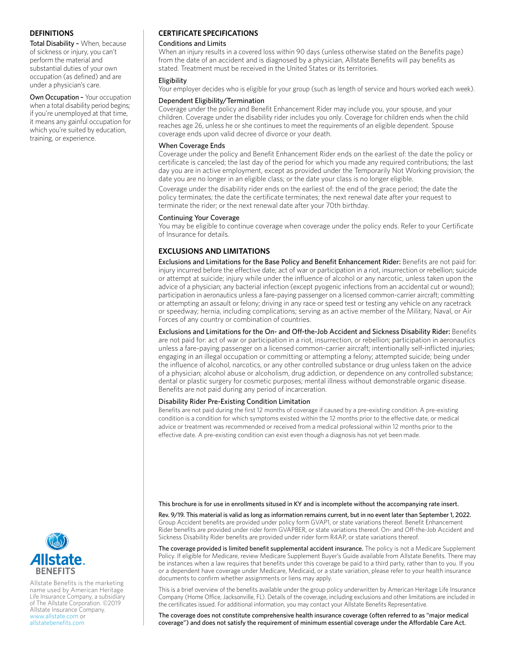#### **DEFINITIONS**

Total Disability – When, because of sickness or injury, you can't perform the material and substantial duties of your own occupation (as defined) and are under a physician's care.

Own Occupation – Your occupation when a total disability period begins; if you're unemployed at that time, it means any gainful occupation for which you're suited by education, training, or experience.

#### **CERTIFICATE SPECIFICATIONS**

#### Conditions and Limits

When an injury results in a covered loss within 90 days (unless otherwise stated on the Benefits page) from the date of an accident and is diagnosed by a physician, Allstate Benefits will pay benefits as stated. Treatment must be received in the United States or its territories.

#### Eligibility

Your employer decides who is eligible for your group (such as length of service and hours worked each week).

#### Dependent Eligibility/Termination

Coverage under the policy and Benefit Enhancement Rider may include you, your spouse, and your children. Coverage under the disability rider includes you only. Coverage for children ends when the child reaches age 26, unless he or she continues to meet the requirements of an eligible dependent. Spouse coverage ends upon valid decree of divorce or your death.

#### When Coverage Ends

Coverage under the policy and Benefit Enhancement Rider ends on the earliest of: the date the policy or certificate is canceled; the last day of the period for which you made any required contributions; the last day you are in active employment, except as provided under the Temporarily Not Working provision; the date you are no longer in an eligible class; or the date your class is no longer eligible.

Coverage under the disability rider ends on the earliest of: the end of the grace period; the date the policy terminates; the date the certificate terminates; the next renewal date after your request to terminate the rider; or the next renewal date after your 70th birthday.

#### Continuing Your Coverage

You may be eligible to continue coverage when coverage under the policy ends. Refer to your Certificate of Insurance for details.

#### **EXCLUSIONS AND LIMITATIONS**

Exclusions and Limitations for the Base Policy and Benefit Enhancement Rider: Benefits are not paid for: injury incurred before the effective date; act of war or participation in a riot, insurrection or rebellion; suicide or attempt at suicide; injury while under the influence of alcohol or any narcotic, unless taken upon the advice of a physician; any bacterial infection (except pyogenic infections from an accidental cut or wound); participation in aeronautics unless a fare-paying passenger on a licensed common-carrier aircraft; committing or attempting an assault or felony; driving in any race or speed test or testing any vehicle on any racetrack or speedway; hernia, including complications; serving as an active member of the Military, Naval, or Air Forces of any country or combination of countries.

Exclusions and Limitations for the On- and Off-the-Job Accident and Sickness Disability Rider: Benefits are not paid for: act of war or participation in a riot, insurrection, or rebellion; participation in aeronautics unless a fare-paying passenger on a licensed common-carrier aircraft; intentionally self-inflicted injuries; engaging in an illegal occupation or committing or attempting a felony; attempted suicide; being under the influence of alcohol, narcotics, or any other controlled substance or drug unless taken on the advice of a physician; alcohol abuse or alcoholism, drug addiction, or dependence on any controlled substance; dental or plastic surgery for cosmetic purposes; mental illness without demonstrable organic disease. Benefits are not paid during any period of incarceration.

#### Disability Rider Pre-Existing Condition Limitation

Benefits are not paid during the first 12 months of coverage if caused by a pre-existing condition. A pre-existing condition is a condition for which symptoms existed within the 12 months prior to the effective date, or medical advice or treatment was recommended or received from a medical professional within 12 months prior to the effective date. A pre-existing condition can exist even though a diagnosis has not yet been made.

#### This brochure is for use in enrollments sitused in KY and is incomplete without the accompanying rate insert.

Rev. 9/19. This material is valid as long as information remains current, but in no event later than September 1, 2022. Group Accident benefits are provided under policy form GVAP1, or state variations thereof. Benefit Enhancement Rider benefits are provided under rider form GVAPBER, or state variations thereof. On- and Off-the-Job Accident and Sickness Disability Rider benefits are provided under rider form R4AP, or state variations thereof.

The coverage provided is limited benefit supplemental accident insurance. The policy is not a Medicare Supplement Policy. If eligible for Medicare, review Medicare Supplement Buyer's Guide available from Allstate Benefits. There may be instances when a law requires that benefits under this coverage be paid to a third party, rather than to you. If you or a dependent have coverage under Medicare, Medicaid, or a state variation, please refer to your health insurance documents to confirm whether assignments or liens may apply.

This is a brief overview of the benefits available under the group policy underwritten by American Heritage Life Insurance Company (Home Office, Jacksonville, FL). Details of the coverage, including exclusions and other limitations are included in the certificates issued. For additional information, you may contact your Allstate Benefits Representative.

The coverage does not constitute comprehensive health insurance coverage (often referred to as "major medical coverage") and does not satisfy the requirement of minimum essential coverage under the Affordable Care Act.



Allstate Benefits is the marketing name used by American Heritage Life Insurance Company, a subsidiary of The Allstate Corporation. ©2019 Allstate Insurance Company. www.allstate.com or allstatebenefits.com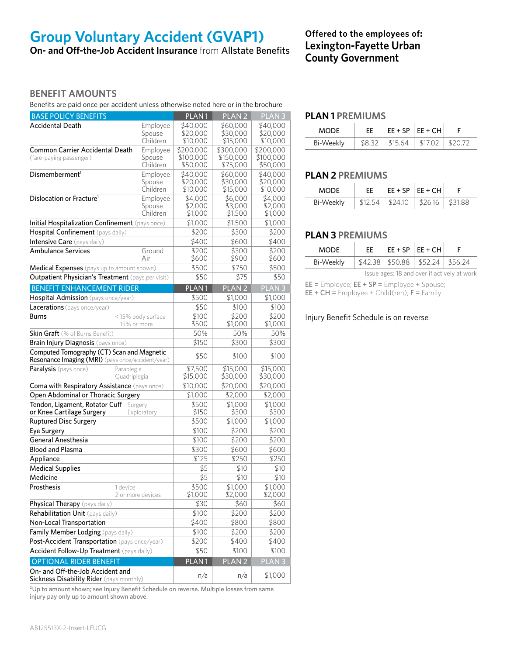## **Group Voluntary Accident (GVAP1)**

**On- and Off-the-Job Accident Insurance** from Allstate Benefits

## **Offered to the employees of: Lexington-Fayette Urban County Government**

## **BENEFIT AMOUNTS**

Benefits are paid once per accident unless otherwise noted here or in the brochure

| <b>BASE POLICY BENEFITS</b>                                                                     |                                | PLAN <sub>1</sub>                  | PLAN <sub>2</sub>                  | PLAN <sub>3</sub>                  |
|-------------------------------------------------------------------------------------------------|--------------------------------|------------------------------------|------------------------------------|------------------------------------|
| <b>Accidental Death</b>                                                                         | Employee<br>Spouse<br>Children | \$40,000<br>\$20,000<br>\$10,000   | \$60,000<br>\$30,000<br>\$15,000   | \$40,000<br>\$20,000<br>\$10,000   |
| <b>Common Carrier Accidental Death</b><br>(fare-paying passenger)                               | Employee<br>Spouse<br>Children | \$200,000<br>\$100,000<br>\$50,000 | \$300,000<br>\$150,000<br>\$75,000 | \$200,000<br>\$100,000<br>\$50,000 |
| Dismemberment <sup>1</sup>                                                                      | Employee<br>Spouse<br>Children | \$40,000<br>\$20,000<br>\$10,000   | \$60,000<br>\$30,000<br>\$15,000   | \$40,000<br>\$20,000<br>\$10,000   |
| Dislocation or Fracture <sup>1</sup>                                                            | Employee<br>Spouse<br>Children | \$4,000<br>\$2,000<br>\$1,000      | \$6,000<br>\$3,000<br>\$1,500      | \$4,000<br>\$2,000<br>\$1,000      |
| Initial Hospitalization Confinement (pays once)                                                 |                                | \$1,000                            | \$1,500                            | \$1,000                            |
| Hospital Confinement (pays daily)                                                               |                                | \$200                              | \$300                              | \$200                              |
| Intensive Care (pays daily)                                                                     |                                | \$400                              | \$600                              | \$400                              |
| <b>Ambulance Services</b>                                                                       | Ground<br>Air                  | \$200<br>\$600                     | \$300<br>\$900                     | \$200<br>\$600                     |
| Medical Expenses (pays up to amount shown)                                                      |                                | \$500                              | \$750                              | \$500                              |
| Outpatient Physician's Treatment (pays per visit)                                               |                                | \$50                               | \$75                               | \$50                               |
| <b>BENEFIT ENHANCEMENT RIDER</b>                                                                |                                | PLAN <sub>1</sub>                  | PLAN <sub>2</sub>                  | PLAN <sub>3</sub>                  |
| Hospital Admission (pays once/year)                                                             |                                | \$500                              | \$1,000                            | \$1,000                            |
| Lacerations (pays once/year)                                                                    |                                | \$50                               | \$100                              | \$100                              |
| Burns<br>15% or more                                                                            | <15% body surface              | \$100<br>\$500                     | \$200<br>\$1,000                   | \$200<br>\$1,000                   |
| <b>Skin Graft</b> (% of Burns Benefit)                                                          |                                | 50%                                | 50%                                | 50%                                |
| Brain Injury Diagnosis (pays once)                                                              |                                | \$150                              | \$300                              | \$300                              |
| Computed Tomography (CT) Scan and Magnetic<br>Resonance Imaging (MRI) (pays once/accident/year) |                                | \$50                               | \$100                              | \$100                              |
| <b>Paralysis</b> (pays once)<br>Paraplegia<br>Quadriplegia                                      |                                | \$7,500<br>\$15,000                | \$15,000<br>\$30,000               | \$15,000<br>\$30,000               |
| Coma with Respiratory Assistance (pays once)                                                    |                                | \$10,000                           | \$20,000                           | \$20,000                           |
| Open Abdominal or Thoracic Surgery                                                              |                                | \$1,000                            | \$2,000                            | \$2,000                            |
| Tendon, Ligament, Rotator Cuff<br>or Knee Cartilage Surgery                                     | Surgery<br>Exploratory         | \$500<br>\$150                     | \$1,000<br>\$300                   | \$1,000<br>\$300                   |
| <b>Ruptured Disc Surgery</b>                                                                    |                                | \$500                              | \$1,000                            | \$1,000                            |
| Eye Surgery                                                                                     |                                | \$100                              | \$200                              | \$200                              |
| <b>General Anesthesia</b>                                                                       |                                | \$100                              | \$200                              | \$200                              |
| <b>Blood and Plasma</b>                                                                         |                                | \$300                              | \$600                              | \$600                              |
| Appliance                                                                                       |                                | \$125                              | \$250                              | \$250                              |
| <b>Medical Supplies</b>                                                                         |                                | \$5                                | \$10                               | \$10                               |
| Medicine                                                                                        |                                | \$5                                | \$10                               | \$10                               |
| Prosthesis<br>1 device                                                                          | 2 or more devices              | \$500<br>\$1,000                   | \$1,000<br>\$2,000                 | \$1,000<br>\$2,000                 |
| Physical Therapy (pays daily)                                                                   |                                | \$30                               | \$60                               | \$60                               |
| Rehabilitation Unit (pays daily)                                                                |                                | \$100                              | \$200                              | \$200                              |
| Non-Local Transportation                                                                        |                                | \$400                              | \$800                              | \$800                              |
| Family Member Lodging (pays daily)                                                              |                                | \$100                              | \$200                              | \$200                              |
| Post-Accident Transportation (pays once/year)                                                   |                                | \$200                              | \$400                              | \$400                              |
| Accident Follow-Up Treatment (pays daily)                                                       |                                | \$50                               | \$100                              | \$100                              |
| <b>OPTIONAL RIDER BENEFIT</b>                                                                   |                                | PLAN <sub>1</sub>                  | PLAN <sub>2</sub>                  | PLAN <sub>3</sub>                  |
| On- and Off-the-Job Accident and<br><b>Sickness Disability Rider</b> (pays monthly)             |                                | n/a                                | n/a                                | \$1,000                            |

<sup>1</sup>Up to amount shown; see Injury Benefit Schedule on reverse. Multiple losses from same injury pay only up to amount shown above.

## **PLAN 1 PREMIUMS**

| MODE      |  | $EE + SP   EE + CH  $                 |  |
|-----------|--|---------------------------------------|--|
| Bi-Weekly |  | $$8.32$   \$15.64   \$17.02   \$20.72 |  |

## **PLAN 2 PREMIUMS**

| MODE.     | FF. | $EE + SP   EE + CH  $                  |  |
|-----------|-----|----------------------------------------|--|
| Bi-Weekly |     | $$12.54$   \$24.10   \$26.16   \$31.88 |  |

## **PLAN 3 PREMIUMS**

| MODE.     | FF. | $EE + SP$ $EE + CH$                          |  |
|-----------|-----|----------------------------------------------|--|
| Bi-Weekly |     | $$42.38 \mid $50.88 \mid $52.24 \mid $56.24$ |  |

Issue ages: 18 and over if actively at work

EE = Employee; EE + SP = Employee + Spouse;

 $EE + CH =$  Employee + Child(ren);  $F =$  Family

#### Injury Benefit Schedule is on reverse